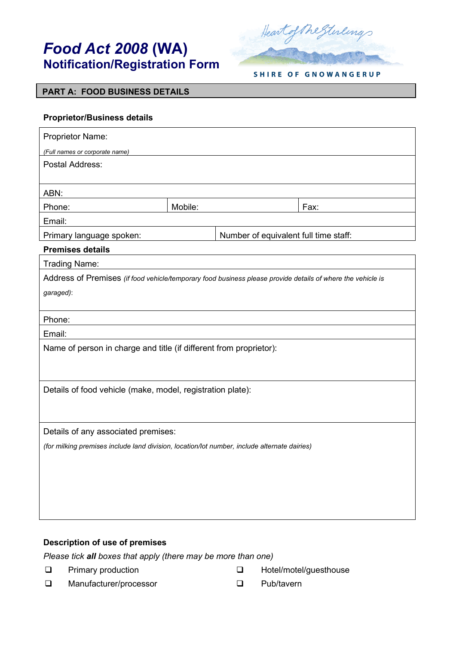# *Food Act 2008* **(WA) Notification/Registration Form**



**SHIRE OF GNOWANGERUP** 

## **PART A: FOOD BUSINESS DETAILS**

## **Proprietor/Business details**

| Proprietor Name:                                                                                            |         |  |                                       |  |
|-------------------------------------------------------------------------------------------------------------|---------|--|---------------------------------------|--|
| (Full names or corporate name)                                                                              |         |  |                                       |  |
| <b>Postal Address:</b>                                                                                      |         |  |                                       |  |
| ABN:                                                                                                        |         |  |                                       |  |
| Phone:                                                                                                      | Mobile: |  | Fax:                                  |  |
| Email:                                                                                                      |         |  |                                       |  |
| Primary language spoken:                                                                                    |         |  | Number of equivalent full time staff: |  |
| <b>Premises details</b>                                                                                     |         |  |                                       |  |
| <b>Trading Name:</b>                                                                                        |         |  |                                       |  |
| Address of Premises (if food vehicle/temporary food business please provide details of where the vehicle is |         |  |                                       |  |
| garaged):                                                                                                   |         |  |                                       |  |
|                                                                                                             |         |  |                                       |  |
| Phone:                                                                                                      |         |  |                                       |  |
| Email:                                                                                                      |         |  |                                       |  |
| Name of person in charge and title (if different from proprietor):                                          |         |  |                                       |  |
|                                                                                                             |         |  |                                       |  |
|                                                                                                             |         |  |                                       |  |
| Details of food vehicle (make, model, registration plate):                                                  |         |  |                                       |  |
|                                                                                                             |         |  |                                       |  |
|                                                                                                             |         |  |                                       |  |
| Details of any associated premises:                                                                         |         |  |                                       |  |
| (for milking premises include land division, location/lot number, include alternate dairies)                |         |  |                                       |  |
|                                                                                                             |         |  |                                       |  |
|                                                                                                             |         |  |                                       |  |
|                                                                                                             |         |  |                                       |  |
|                                                                                                             |         |  |                                       |  |
|                                                                                                             |         |  |                                       |  |

# **Description of use of premises**

*Please tick all boxes that apply (there may be more than one)*

**Q** Primary production

- Hotel/motel/guesthouse
- □ Manufacturer/processor Pub/tavern
-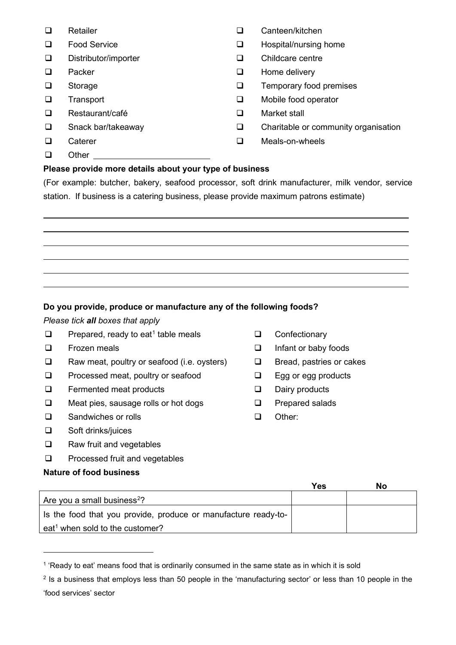- **Q** Retailer
- $\Box$  Food Service  $\Box$
- □ Distributor/importer and Distributor/importer
- $\Box$  Packer  $\Box$
- $\square$  Storage  $\square$
- **Transport**
- □ Restaurant/café 
Book and Book and Market stall
- Snack bar/takeaway
- **Caterer**
- □ Other

# **Please provide more details about your type of business**

(For example: butcher, bakery, seafood processor, soft drink manufacturer, milk vendor, service station. If business is a catering business, please provide maximum patrons estimate)

**Do you provide, produce or manufacture any of the following foods?** 

## *Please tick all boxes that apply*

- $\Box$  Prepared, ready to eat<sup>[1](#page-1-0)</sup> table meals
- $\square$  Frozen meals  $\square$
- $\Box$  Raw meat, poultry or seafood (i.e. oysters)  $\Box$
- $\square$  Processed meat, poultry or seafood  $\square$
- □ Fermented meat products □ □ □
- $\square$  Meat pies, sausage rolls or hot dogs  $\square$
- □ Sandwiches or rolls in the set of the Sandwiches or rolls in the set of the Sandwiches or the Sandwick of the S
- Soft drinks/juices  $\Box$
- Raw fruit and vegetables  $\Box$
- Processed fruit and vegetables  $\Box$

## **Nature of food business**

- **Q** Confectionary
- Infant or baby foods
- Bread, pastries or cakes
- Egg or egg products
- Dairy products
- Prepared salads
- Other:

|                                                                | Yes | No |
|----------------------------------------------------------------|-----|----|
| Are you a small business <sup>2</sup> ?                        |     |    |
| Is the food that you provide, produce or manufacture ready-to- |     |    |
| eat <sup>1</sup> when sold to the customer?                    |     |    |

<span id="page-1-0"></span><sup>&</sup>lt;sup>1</sup> 'Ready to eat' means food that is ordinarily consumed in the same state as in which it is sold

- Canteen/kitchen
- Hospital/nursing home
- Childcare centre
- Home delivery
- Temporary food premises
- **a** Transport **COMOBIA** Transport
	-
- $\square$  Snack bar/takeaway  $\square$  Charitable or community organisation
- □ Caterer and Caterer and Caterer and Caterer and Caterer and Caterer and Caterer and Meals-on-wheels

<span id="page-1-1"></span><sup>&</sup>lt;sup>2</sup> Is a business that employs less than 50 people in the 'manufacturing sector' or less than 10 people in the 'food services' sector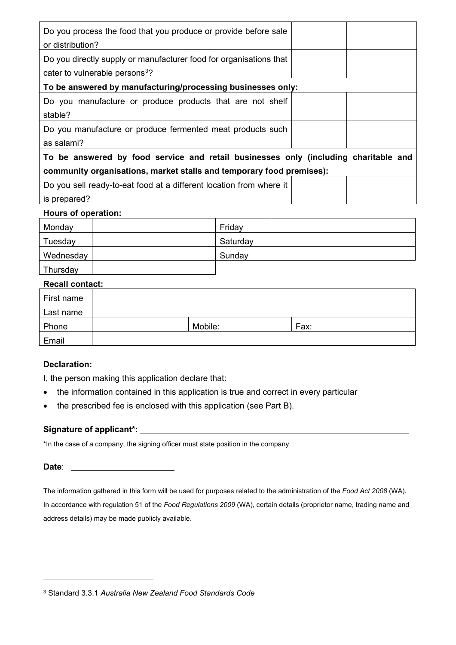| Do you process the food that you produce or provide before sale<br>or distribution? |  |
|-------------------------------------------------------------------------------------|--|
| Do you directly supply or manufacturer food for organisations that                  |  |
| cater to vulnerable persons <sup>3</sup> ?                                          |  |
| To be answered by manufacturing/processing businesses only:                         |  |
| Do you manufacture or produce products that are not shelf                           |  |
| stable?                                                                             |  |
| Do you manufacture or produce fermented meat products such                          |  |
| as salami?                                                                          |  |
| To be answered by food service and retail businesses only (including charitable and |  |
| community organisations, market stalls and temporary food premises):                |  |
| Do you sell ready-to-eat food at a different location from where it                 |  |
| is prepared?                                                                        |  |

#### **Hours of operation:**

| Monday    | Friday   |  |
|-----------|----------|--|
| Tuesday   | Saturday |  |
| Wednesday | Sunday   |  |
| Thursday  |          |  |

## **Recall contact:**

| First name |         |      |
|------------|---------|------|
| Last name  |         |      |
| Phone      | Mobile: | Fax: |
| Email      |         |      |

## **Declaration:**

I, the person making this application declare that:

- the information contained in this application is true and correct in every particular
- the prescribed fee is enclosed with this application (see Part B).

## **Signature of applicant\*:**

\*In the case of a company, the signing officer must state position in the company

## **Date**:

The information gathered in this form will be used for purposes related to the administration of the *Food Act 2008* (WA). In accordance with regulation 51 of the *Food Regulations 2009* (WA)*,* certain details (proprietor name, trading name and address details) may be made publicly available.

<span id="page-2-0"></span><sup>3</sup> Standard 3.3.1 *Australia New Zealand Food Standards Code*